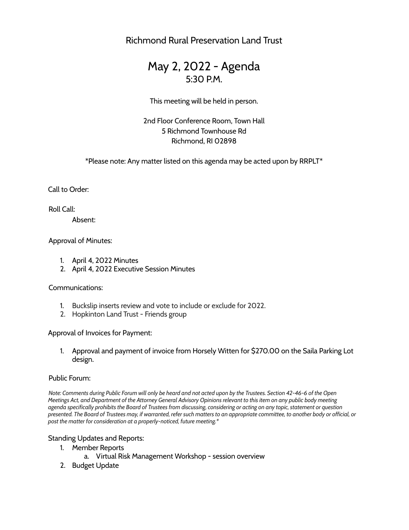Richmond Rural Preservation Land Trust

# May 2, 2022 - Agenda 5:30 P.M.

This meeting will be held in person.

2nd Floor Conference Room, Town Hall 5 Richmond Townhouse Rd Richmond, RI 02898

\*Please note: Any matter listed on this agenda may be acted upon by RRPLT\*

Call to Order:

Roll Call:

Absent:

Approval of Minutes:

- 1. April 4, 2022 Minutes
- 2. April 4, 2022 Executive Session Minutes

Communications:

- 1. Buckslip inserts review and vote to include or exclude for 2022.
- 2. Hopkinton Land Trust Friends group

Approval of Invoices for Payment:

1. Approval and payment of invoice from Horsely Witten for \$270.00 on the Saila Parking Lot design.

#### Public Forum:

Note: Comments during Public Forum will only be heard and not acted upon by the Trustees. Section 42-46-6 of the Open Meetings Act, and Department of the Attorney General Advisory Opinions relevant to this item on any public body meeting agenda specifically prohibits the Board of Trustees from discussing, considering or acting on any topic, statement or question presented. The Board of Trustees may, if warranted, refer such matters to an appropriate committee, to another body or official, or *post the matter for consideration at a properly-noticed, future meeting.\**

Standing Updates and Reports:

- 1. Member Reports
	- a. Virtual Risk Management Workshop session overview
- 2. Budget Update